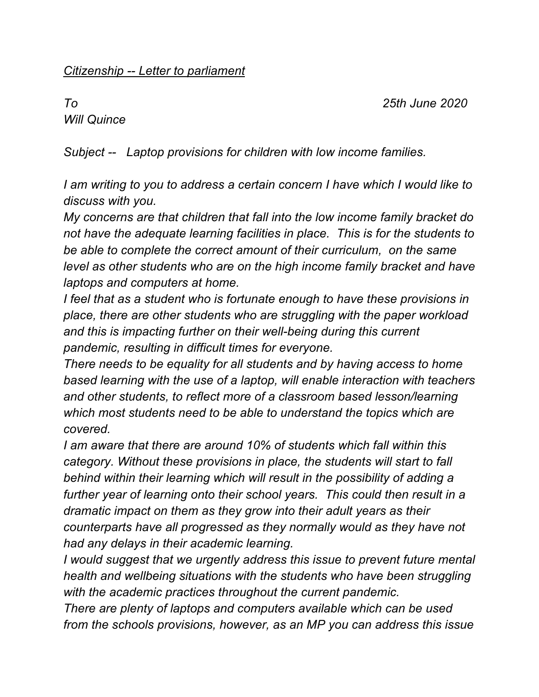## *Citizenship -- Letter to parliament*

*To 25th June 2020* 

*Will Quince* 

*Subject -- Laptop provisions for children with low income families.*

*I am writing to you to address a certain concern I have which I would like to discuss with you.* 

*My concerns are that children that fall into the low income family bracket do not have the adequate learning facilities in place. This is for the students to be able to complete the correct amount of their curriculum, on the same level as other students who are on the high income family bracket and have laptops and computers at home.*

*I feel that as a student who is fortunate enough to have these provisions in place, there are other students who are struggling with the paper workload and this is impacting further on their well-being during this current pandemic, resulting in difficult times for everyone.*

*There needs to be equality for all students and by having access to home based learning with the use of a laptop, will enable interaction with teachers and other students, to reflect more of a classroom based lesson/learning which most students need to be able to understand the topics which are covered.*

*I am aware that there are around 10% of students which fall within this category. Without these provisions in place, the students will start to fall behind within their learning which will result in the possibility of adding a*  further year of learning onto their school years. This could then result in a *dramatic impact on them as they grow into their adult years as their counterparts have all progressed as they normally would as they have not had any delays in their academic learning.*

*I would suggest that we urgently address this issue to prevent future mental health and wellbeing situations with the students who have been struggling with the academic practices throughout the current pandemic.*

*There are plenty of laptops and computers available which can be used from the schools provisions, however, as an MP you can address this issue*